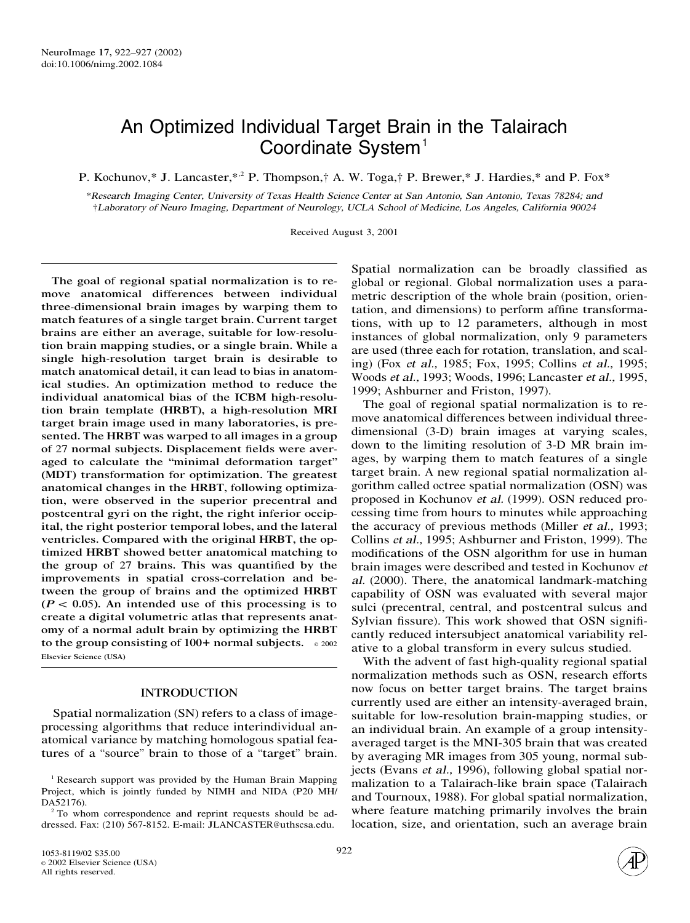# An Optimized Individual Target Brain in the Talairach Coordinate System<sup>1</sup>

P. Kochunov,\* J. Lancaster,\*<sup>2</sup> P. Thompson,† A. W. Toga,† P. Brewer,\* J. Hardies,\* and P. Fox\*

\*<sup>R</sup>esearc<sup>h</sup> <sup>I</sup>magin<sup>g</sup> <sup>C</sup>enter, <sup>U</sup>niversit<sup>y</sup> of <sup>T</sup>exa<sup>s</sup> <sup>H</sup>ealt<sup>h</sup> <sup>S</sup>cience <sup>C</sup>ente<sup>r</sup> <sup>a</sup><sup>t</sup> San <sup>A</sup>ntoni<sup>o</sup>, San <sup>A</sup>ntoni<sup>o</sup>, <sup>T</sup>exa<sup>s</sup> <sup>78284</sup>; and †<sup>L</sup>aborato<sup>r</sup><sup>y</sup> of <sup>N</sup><sup>e</sup>ur<sup>o</sup> <sup>I</sup>maging, <sup>D</sup>epartmen<sup>t</sup> of <sup>N</sup><sup>e</sup>urology, <sup>U</sup>CL<sup>A</sup> <sup>S</sup>choo<sup>l</sup> of <sup>M</sup>edicine, <sup>L</sup>o<sup>s</sup> <sup>A</sup>ngeles, <sup>C</sup>aliforni<sup>a</sup> <sup>90024</sup>

Received August 3, 2001

The goal of regional spatial normalization is to remove anatomical differences between individual three-dimensional brain images by warping them to match features of a single target brain. Current target brains are either an average, suitable for low-resolution brain mapping studies, or a single brain. While a single high-resolution target brain is desirable to match anatomical detail, it can lead to bias in anatomical studies. An optimization method to reduce the individual anatomical bias of the ICBM high-resolution brain template (HRBT), a high-resolution MRI target brain image used in many laboratories, is presented. The HRBT was warped to all images in a group of 27 normal subjects. Displacement fields were averaged to calculate the "minimal deformation target" (MDT) transformation for optimization. The greatest anatomical changes in the HRBT, following optimization, were observed in the superior precentral and postcentral gyri on the right, the right inferior occipital, the right posterior temporal lobes, and the lateral ventricles. Compared with the original HRBT, the optimized HRBT showed better anatomical matching to the group of 27 brains. This was quantified by the improvements in spatial cross-correlation and between the group of brains and the optimized HRBT  $(P < 0.05)$ . An intended use of this processing is to create a digital volumetric atlas that represents anatomy of a normal adult brain by optimizing the HRBT to the group consisting of  $100+$  normal subjects.  $\circ$  2002 Elsevier Science (USA)

# INTRODUCTION

Spatial normalization (SN) refers to a class of imageprocessing algorithms that reduce interindividual anatomical variance by matching homologous spatial features of a "source" brain to those of a "target" brain. Spatial normalization can be broadly classified as global or regional. Global normalization uses a parametric description of the whole brain (position, orientation, and dimensions) to perform affine transformations, with up to 12 parameters, although in most instances of global normalization, only 9 parameters are used (three each for rotation, translation, and scaling) (Fox <sup>e</sup><sup>t</sup> al., 1985; Fox, 1995; Collins <sup>e</sup><sup>t</sup> al., 1995; Woods *et al.*, 1993; Woods, 1996; Lancaster *et al.*, 1995, 1999; Ashburner and Friston, 1997).

The goal of regional spatial normalization is to remove anatomical differences between individual threedimensional (3-D) brain images at varying scales, down to the limiting resolution of 3-D MR brain images, by warping them to match features of a single target brain. A new regional spatial normalization algorithm called octree spatial normalization (OSN) was proposed in Kochunov <sup>e</sup><sup>t</sup> al. (1999). OSN reduced processing time from hours to minutes while approaching the accuracy of previous methods (Miller <sup>e</sup><sup>t</sup> al., 1993; Collins <sup>e</sup><sup>t</sup> al., 1995; Ashburner and Friston, 1999). The modifications of the OSN algorithm for use in human brain images were described and tested in Kochunov <sup>e</sup><sup>t</sup> al. (2000). There, the anatomical landmark-matching capability of OSN was evaluated with several major sulci (precentral, central, and postcentral sulcus and Sylvian fissure). This work showed that OSN significantly reduced intersubject anatomical variability relative to a global transform in every sulcus studied.

With the advent of fast high-quality regional spatial normalization methods such as OSN, research efforts now focus on better target brains. The target brains currently used are either an intensity-averaged brain, suitable for low-resolution brain-mapping studies, or an individual brain. An example of a group intensityaveraged target is the MNI-305 brain that was created by averaging MR images from 305 young, normal subjects (Evans <sup>e</sup><sup>t</sup> al., 1996), following global spatial normalization to a Talairach-like brain space (Talairach and Tournoux, 1988). For global spatial normalization, where feature matching primarily involves the brain location, size, and orientation, such an average brain

<sup>&</sup>lt;sup>1</sup> Research support was provided by the Human Brain Mapping Project, which is jointly funded by NIMH and NIDA (P20 MH/ DA52176).

<sup>&</sup>lt;sup>2</sup> To whom correspondence and reprint requests should be addressed. Fax: (210) 567-8152. E-mail: JLANCASTER@uthscsa.edu.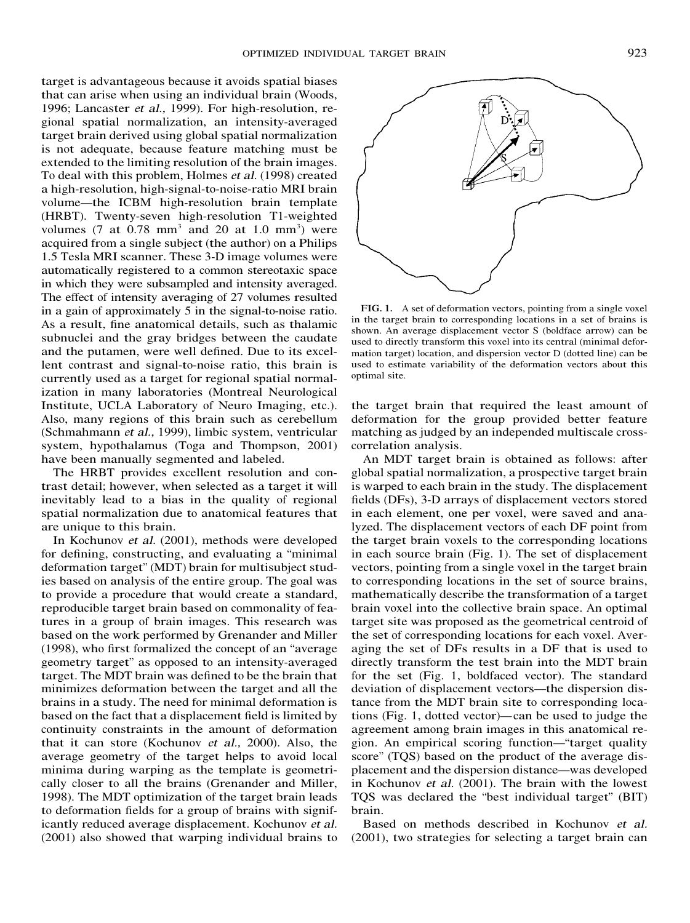target is advantageous because it avoids spatial biases that can arise when using an individual brain (Woods, 1996; Lancaster <sup>e</sup><sup>t</sup> al., 1999). For high-resolution, regional spatial normalization, an intensity-averaged target brain derived using global spatial normalization is not adequate, because feature matching must be extended to the limiting resolution of the brain images. To deal with this problem, Holmes <sup>e</sup><sup>t</sup> al. (1998) created a high-resolution, high-signal-to-noise-ratio MRI brain volume—the ICBM high-resolution brain template (HRBT). Twenty-seven high-resolution T1-weighted volumes (7 at  $0.78$  mm<sup>3</sup> and 20 at 1.0 mm<sup>3</sup>) were acquired from a single subject (the author) on a Philips 1.5 Tesla MRI scanner. These 3-D image volumes were automatically registered to a common stereotaxic space in which they were subsampled and intensity averaged. The effect of intensity averaging of 27 volumes resulted in a gain of approximately 5 in the signal-to-noise ratio. As a result, fine anatomical details, such as thalamic subnuclei and the gray bridges between the caudate and the putamen, were well defined. Due to its excellent contrast and signal-to-noise ratio, this brain is currently used as a target for regional spatial normalization in many laboratories (Montreal Neurological Institute, UCLA Laboratory of Neuro Imaging, etc.). Also, many regions of this brain such as cerebellum (Schmahmann <sup>e</sup><sup>t</sup> al., 1999), limbic system, ventricular system, hypothalamus (Toga and Thompson, 2001) have been manually segmented and labeled.

The HRBT provides excellent resolution and contrast detail; however, when selected as a target it will inevitably lead to a bias in the quality of regional spatial normalization due to anatomical features that are unique to this brain.

In Kochunov <sup>e</sup><sup>t</sup> al. (2001), methods were developed for defining, constructing, and evaluating a "minimal deformation target" (MDT) brain for multisubject studies based on analysis of the entire group. The goal was to provide a procedure that would create a standard, reproducible target brain based on commonality of features in a group of brain images. This research was based on the work performed by Grenander and Miller (1998), who first formalized the concept of an "average geometry target" as opposed to an intensity-averaged target. The MDT brain was defined to be the brain that minimizes deformation between the target and all the brains in a study. The need for minimal deformation is based on the fact that a displacement field is limited by continuity constraints in the amount of deformation that it can store (Kochunov <sup>e</sup><sup>t</sup> al., 2000). Also, the average geometry of the target helps to avoid local minima during warping as the template is geometrically closer to all the brains (Grenander and Miller, 1998). The MDT optimization of the target brain leads to deformation fields for a group of brains with significantly reduced average displacement. Kochunov <sup>e</sup><sup>t</sup> al. (2001) also showed that warping individual brains to



FIG. 1. A set of deformation vectors, pointing from a single voxel in the target brain to corresponding locations in a set of brains is shown. An average displacement vector S (boldface arrow) can be used to directly transform this voxel into its central (minimal deformation target) location, and dispersion vector D (dotted line) can be used to estimate variability of the deformation vectors about this optimal site.

the target brain that required the least amount of deformation for the group provided better feature matching as judged by an independed multiscale crosscorrelation analysis.

An MDT target brain is obtained as follows: after global spatial normalization, a prospective target brain is warped to each brain in the study. The displacement fields (DFs), 3-D arrays of displacement vectors stored in each element, one per voxel, were saved and analyzed. The displacement vectors of each DF point from the target brain voxels to the corresponding locations in each source brain (Fig. 1). The set of displacement vectors, pointing from a single voxel in the target brain to corresponding locations in the set of source brains, mathematically describe the transformation of a target brain voxel into the collective brain space. An optimal target site was proposed as the geometrical centroid of the set of corresponding locations for each voxel. Averaging the set of DFs results in a DF that is used to directly transform the test brain into the MDT brain for the set (Fig. 1, boldfaced vector). The standard deviation of displacement vectors—the dispersion distance from the MDT brain site to corresponding locations (Fig. 1, dotted vector)—can be used to judge the agreement among brain images in this anatomical region. An empirical scoring function—"target quality score" (TQS) based on the product of the average displacement and the dispersion distance—was developed in Kochunov <sup>e</sup><sup>t</sup> al. (2001). The brain with the lowest TQS was declared the "best individual target" (BIT) brain.

Based on methods described in Kochunov <sup>e</sup><sup>t</sup> al. (2001), two strategies for selecting a target brain can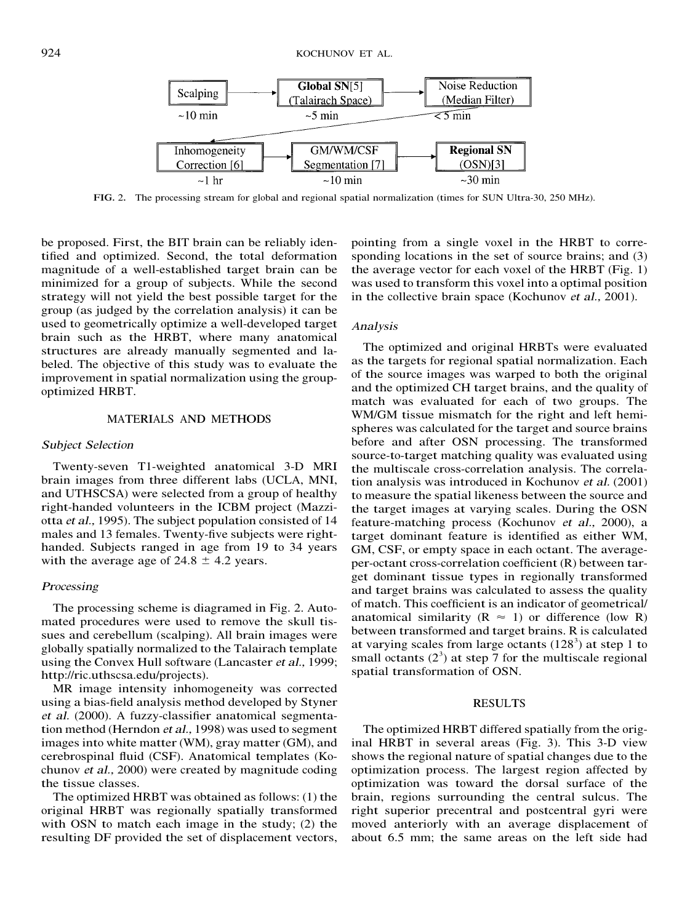

FIG. 2. The processing stream for global and regional spatial normalization (times for SUN Ultra-30, 250 MHz).

be proposed. First, the BIT brain can be reliably identified and optimized. Second, the total deformation magnitude of a well-established target brain can be minimized for a group of subjects. While the second strategy will not yield the best possible target for the group (as judged by the correlation analysis) it can be used to geometrically optimize a well-developed target brain such as the HRBT, where many anatomical structures are already manually segmented and labeled. The objective of this study was to evaluate the improvement in spatial normalization using the groupoptimized HRBT.

## MATERIALS AND METHODS

# Subjec<sup>t</sup> Selectio<sup>n</sup>

Twenty-seven T1-weighted anatomical 3-D MRI brain images from three different labs (UCLA, MNI, and UTHSCSA) were selected from a group of healthy right-handed volunteers in the ICBM project (Mazziotta <sup>e</sup><sup>t</sup> al., 1995). The subject population consisted of 14 males and 13 females. Twenty-five subjects were righthanded. Subjects ranged in age from 19 to 34 years with the average age of  $24.8 \pm 4.2$  years.

## **Processing**

The processing scheme is diagramed in Fig. 2. Automated procedures were used to remove the skull tissues and cerebellum (scalping). All brain images were globally spatially normalized to the Talairach template using the Convex Hull software (Lancaster <sup>e</sup><sup>t</sup> al., 1999; http://ric.uthscsa.edu/projects).

MR image intensity inhomogeneity was corrected using a bias-field analysis method developed by Styner <sup>e</sup><sup>t</sup> al. (2000). A fuzzy-classifier anatomical segmentation method (Herndon <sup>e</sup><sup>t</sup> al., 1998) was used to segment images into white matter (WM), gray matter (GM), and cerebrospinal fluid (CSF). Anatomical templates (Kochunov <sup>e</sup><sup>t</sup> al., 2000) were created by magnitude coding the tissue classes.

The optimized HRBT was obtained as follows: (1) the original HRBT was regionally spatially transformed with OSN to match each image in the study; (2) the resulting DF provided the set of displacement vectors,

pointing from a single voxel in the HRBT to corresponding locations in the set of source brains; and (3) the average vector for each voxel of the HRBT (Fig. 1) was used to transform this voxel into a optimal position in the collective brain space (Kochunov <sup>e</sup><sup>t</sup> al., 2001).

## Analysis

The optimized and original HRBTs were evaluated as the targets for regional spatial normalization. Each of the source images was warped to both the original and the optimized CH target brains, and the quality of match was evaluated for each of two groups. The WM/GM tissue mismatch for the right and left hemispheres was calculated for the target and source brains before and after OSN processing. The transformed source-to-target matching quality was evaluated using the multiscale cross-correlation analysis. The correlation analysis was introduced in Kochunov <sup>e</sup><sup>t</sup> al. (2001) to measure the spatial likeness between the source and the target images at varying scales. During the OSN feature-matching process (Kochunov <sup>e</sup><sup>t</sup> al., 2000), a target dominant feature is identified as either WM, GM, CSF, or empty space in each octant. The averageper-octant cross-correlation coefficient (R) between target dominant tissue types in regionally transformed and target brains was calculated to assess the quality of match. This coefficient is an indicator of geometrical/ anatomical similarity ( $R \approx 1$ ) or difference (low R) between transformed and target brains. R is calculated at varying scales from large octants  $(128^3)$  at step 1 to small octants  $(2^3)$  at step 7 for the multiscale regional spatial transformation of OSN.

#### RESULTS

The optimized HRBT differed spatially from the original HRBT in several areas (Fig. 3). This 3-D view shows the regional nature of spatial changes due to the optimization process. The largest region affected by optimization was toward the dorsal surface of the brain, regions surrounding the central sulcus. The right superior precentral and postcentral gyri were moved anteriorly with an average displacement of about 6.5 mm; the same areas on the left side had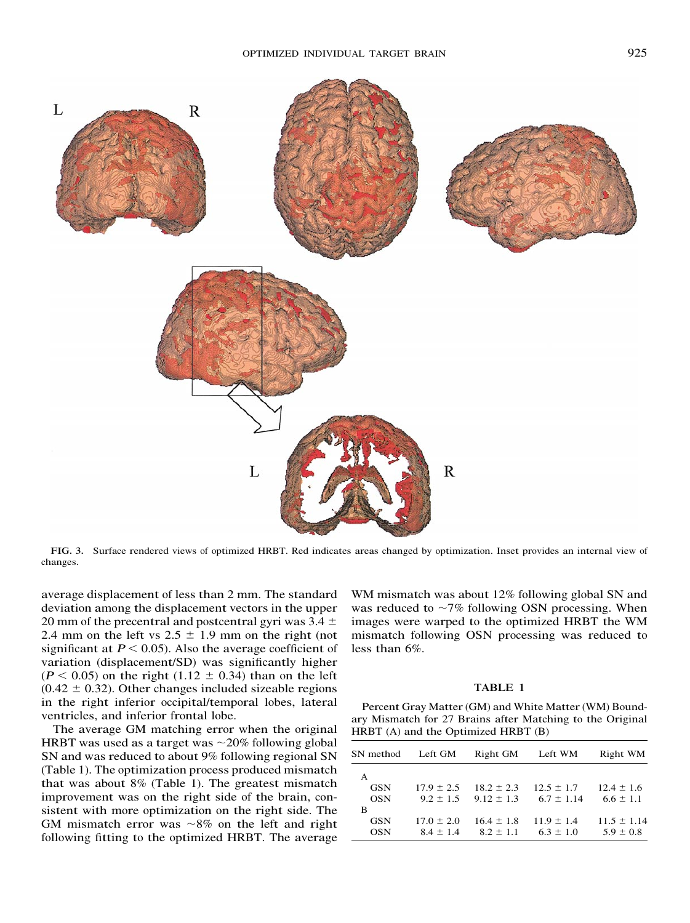

FIG. 3. Surface rendered views of optimized HRBT. Red indicates areas changed by optimization. Inset provides an internal view of changes.

average displacement of less than 2 mm. The standard deviation among the displacement vectors in the upper 20 mm of the precentral and postcentral gyri was  $3.4 \pm$ 2.4 mm on the left vs  $2.5 \pm 1.9$  mm on the right (not significant at  $P < 0.05$ ). Also the average coefficient of variation (displacement/SD) was significantly higher  $(P < 0.05)$  on the right  $(1.12 \pm 0.34)$  than on the left  $(0.42 \pm 0.32)$ . Other changes included sizeable regions in the right inferior occipital/temporal lobes, lateral ventricles, and inferior frontal lobe.

The average GM matching error when the original HRBT was used as a target was  $\sim$ 20% following global SN and was reduced to about 9% following regional SN (Table 1). The optimization process produced mismatch that was about 8% (Table 1). The greatest mismatch improvement was on the right side of the brain, consistent with more optimization on the right side. The GM mismatch error was  $\sim 8\%$  on the left and right following fitting to the optimized HRBT. The average WM mismatch was about 12% following global SN and was reduced to  $\sim$ 7% following OSN processing. When images were warped to the optimized HRBT the WM mismatch following OSN processing was reduced to less than 6%.

## TABLE 1

Percent Gray Matter (GM) and White Matter (WM) Boundary Mismatch for 27 Brains after Matching to the Original HRBT (A) and the Optimized HRBT (B)

| SN method  | Left GM        | Right GM                     | Left WM        | Right WM        |
|------------|----------------|------------------------------|----------------|-----------------|
| A          |                |                              |                |                 |
| <b>GSN</b> | $17.9 \pm 2.5$ | $18.2 \pm 2.3$               | $12.5 \pm 1.7$ | $12.4 \pm 1.6$  |
| <b>OSN</b> |                | $9.2 \pm 1.5$ $9.12 \pm 1.3$ | $6.7 \pm 1.14$ | $6.6 \pm 1.1$   |
| B          |                |                              |                |                 |
| <b>GSN</b> | $17.0 \pm 2.0$ | $16.4 \pm 1.8$               | $11.9 \pm 1.4$ | $11.5 \pm 1.14$ |
| <b>OSN</b> | $8.4 \pm 1.4$  | $8.2 \pm 1.1$                | $6.3 \pm 1.0$  | $5.9 \pm 0.8$   |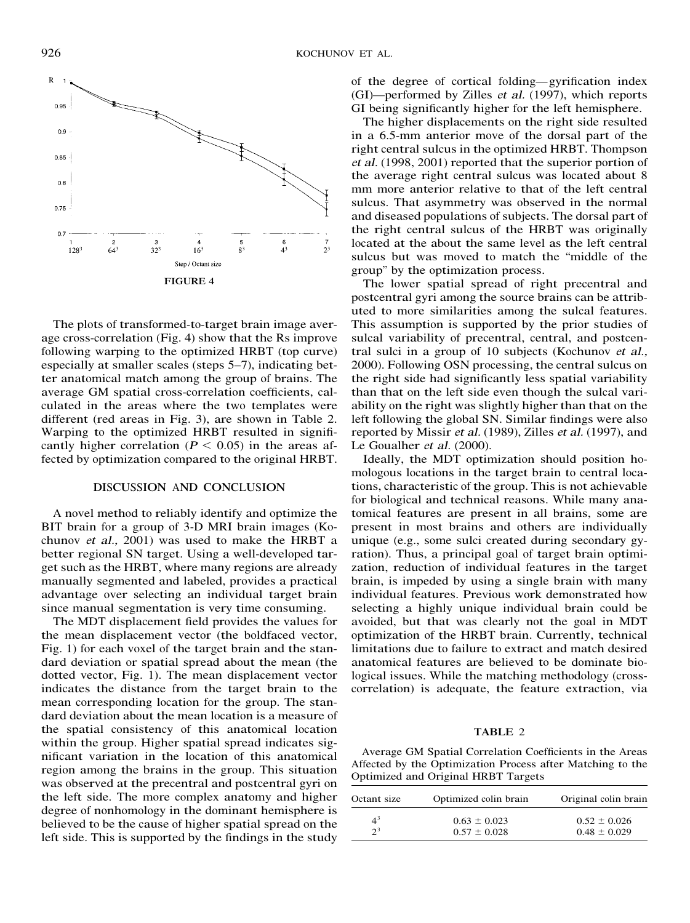

The plots of transformed-to-target brain image average cross-correlation (Fig. 4) show that the Rs improve following warping to the optimized HRBT (top curve) especially at smaller scales (steps 5–7), indicating better anatomical match among the group of brains. The average GM spatial cross-correlation coefficients, calculated in the areas where the two templates were different (red areas in Fig. 3), are shown in Table 2. Warping to the optimized HRBT resulted in significantly higher correlation ( $P < 0.05$ ) in the areas affected by optimization compared to the original HRBT.

#### DISCUSSION AND CONCLUSION

A novel method to reliably identify and optimize the BIT brain for a group of 3-D MRI brain images (Kochunov <sup>e</sup><sup>t</sup> al., 2001) was used to make the HRBT a better regional SN target. Using a well-developed target such as the HRBT, where many regions are already manually segmented and labeled, provides a practical advantage over selecting an individual target brain since manual segmentation is very time consuming.

The MDT displacement field provides the values for the mean displacement vector (the boldfaced vector, Fig. 1) for each voxel of the target brain and the standard deviation or spatial spread about the mean (the dotted vector, Fig. 1). The mean displacement vector indicates the distance from the target brain to the mean corresponding location for the group. The standard deviation about the mean location is a measure of the spatial consistency of this anatomical location within the group. Higher spatial spread indicates significant variation in the location of this anatomical region among the brains in the group. This situation was observed at the precentral and postcentral gyri on the left side. The more complex anatomy and higher degree of nonhomology in the dominant hemisphere is believed to be the cause of higher spatial spread on the left side. This is supported by the findings in the study of the degree of cortical folding—gyrification index (GI)—performed by Zilles <sup>e</sup><sup>t</sup> al. (1997), which reports GI being significantly higher for the left hemisphere.

The higher displacements on the right side resulted in a 6.5-mm anterior move of the dorsal part of the right central sulcus in the optimized HRBT. Thompson <sup>e</sup><sup>t</sup> al. (1998, 2001) reported that the superior portion of the average right central sulcus was located about 8 mm more anterior relative to that of the left central sulcus. That asymmetry was observed in the normal and diseased populations of subjects. The dorsal part of the right central sulcus of the HRBT was originally located at the about the same level as the left central sulcus but was moved to match the "middle of the group" by the optimization process.

The lower spatial spread of right precentral and postcentral gyri among the source brains can be attributed to more similarities among the sulcal features. This assumption is supported by the prior studies of sulcal variability of precentral, central, and postcentral sulci in a group of 10 subjects (Kochunov <sup>e</sup><sup>t</sup> al., 2000). Following OSN processing, the central sulcus on the right side had significantly less spatial variability than that on the left side even though the sulcal variability on the right was slightly higher than that on the left following the global SN. Similar findings were also reported by Missir <sup>e</sup><sup>t</sup> al. (1989), Zilles <sup>e</sup><sup>t</sup> al. (1997), and Le Goualher et al. (2000).

Ideally, the MDT optimization should position homologous locations in the target brain to central locations, characteristic of the group. This is not achievable for biological and technical reasons. While many anatomical features are present in all brains, some are present in most brains and others are individually unique (e.g., some sulci created during secondary gyration). Thus, a principal goal of target brain optimization, reduction of individual features in the target brain, is impeded by using a single brain with many individual features. Previous work demonstrated how selecting a highly unique individual brain could be avoided, but that was clearly not the goal in MDT optimization of the HRBT brain. Currently, technical limitations due to failure to extract and match desired anatomical features are believed to be dominate biological issues. While the matching methodology (crosscorrelation) is adequate, the feature extraction, via

# TABLE 2

Average GM Spatial Correlation Coefficients in the Areas Affected by the Optimization Process after Matching to the Optimized and Original HRBT Targets

| Octant size    | Optimized colin brain | Original colin brain |  |
|----------------|-----------------------|----------------------|--|
| $4^3$<br>$2^3$ | $0.63 \pm 0.023$      | $0.52 \pm 0.026$     |  |
|                | $0.57 \pm 0.028$      | $0.48 \pm 0.029$     |  |